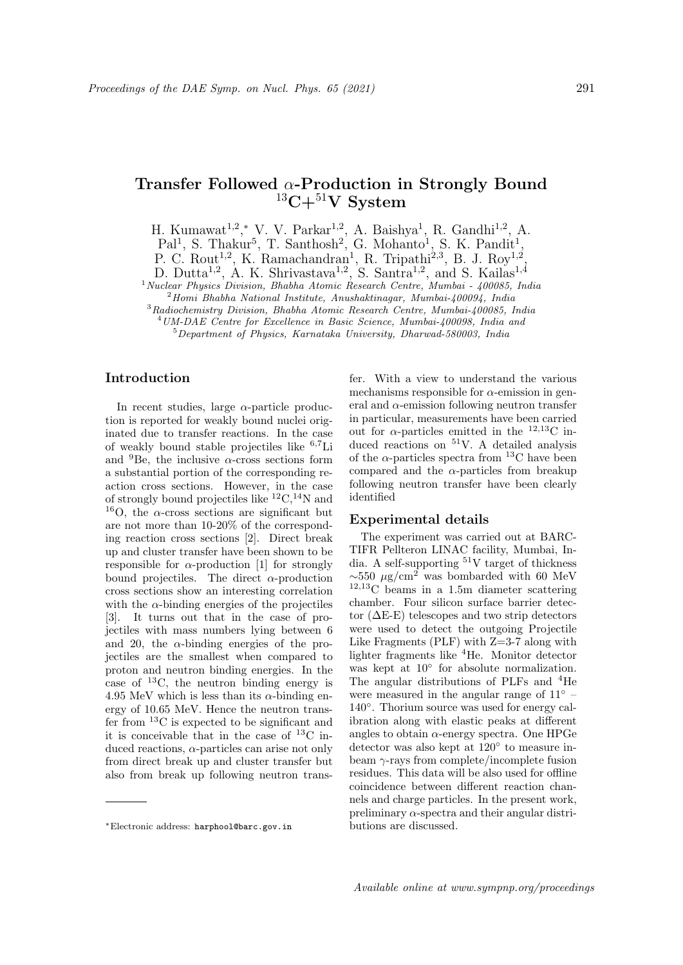# Transfer Followed α-Production in Strongly Bound  $13C+51V$  System

H. Kumawat<sup>1,2</sup>,\* V. V. Parkar<sup>1,2</sup>, A. Baishya<sup>1</sup>, R. Gandhi<sup>1,2</sup>, A.

Pal<sup>1</sup>, S. Thakur<sup>5</sup>, T. Santhosh<sup>2</sup>, G. Mohanto<sup>1</sup>, S. K. Pandit<sup>1</sup>,

P. C. Rout<sup>1,2</sup>, K. Ramachandran<sup>1</sup>, R. Tripathi<sup>2,3</sup>, B. J. Roy<sup>1,2</sup>,

D. Dutta<sup>1,2</sup>, A. K. Shrivastava<sup>1,2</sup>, S. Santra<sup>1,2</sup>, and S. Kailas<sup>1,4</sup>

 $1$ Nuclear Physics Division, Bhabha Atomic Research Centre, Mumbai - 400085, India

 $2$ Homi Bhabha National Institute, Anushaktinagar, Mumbai- $400094$ , India <sup>3</sup>Radiochemistry Division, Bhabha Atomic Research Centre, Mumbai-400085, India

<sup>4</sup>UM-DAE Centre for Excellence in Basic Science, Mumbai-400098, India and

<sup>5</sup>Department of Physics, Karnataka University, Dharwad-580003, India

## Introduction

In recent studies, large  $\alpha$ -particle production is reported for weakly bound nuclei originated due to transfer reactions. In the case of weakly bound stable projectiles like <sup>6</sup>,7Li and <sup>9</sup>Be, the inclusive  $\alpha$ -cross sections form a substantial portion of the corresponding reaction cross sections. However, in the case of strongly bound projectiles like  ${}^{12}C,{}^{14}N$  and <sup>16</sup>O, the  $\alpha$ -cross sections are significant but are not more than 10-20% of the corresponding reaction cross sections [2]. Direct break up and cluster transfer have been shown to be responsible for  $\alpha$ -production [1] for strongly bound projectiles. The direct  $\alpha$ -production cross sections show an interesting correlation with the  $\alpha$ -binding energies of the projectiles [3]. It turns out that in the case of projectiles with mass numbers lying between 6 and 20, the  $\alpha$ -binding energies of the projectiles are the smallest when compared to proton and neutron binding energies. In the case of <sup>13</sup>C, the neutron binding energy is 4.95 MeV which is less than its  $\alpha$ -binding energy of 10.65 MeV. Hence the neutron transfer from <sup>13</sup>C is expected to be significant and it is conceivable that in the case of  $^{13}$ C induced reactions,  $\alpha$ -particles can arise not only from direct break up and cluster transfer but also from break up following neutron transfer. With a view to understand the various mechanisms responsible for  $\alpha$ -emission in general and  $\alpha$ -emission following neutron transfer in particular, measurements have been carried out for  $\alpha$ -particles emitted in the <sup>12,13</sup>C induced reactions on <sup>51</sup>V. A detailed analysis of the  $\alpha$ -particles spectra from <sup>13</sup>C have been compared and the  $\alpha$ -particles from breakup following neutron transfer have been clearly identified

#### Experimental details

The experiment was carried out at BARC-TIFR Pellteron LINAC facility, Mumbai, India. A self-supporting  $51V$  target of thickness  $\sim$ 550 µg/cm<sup>2</sup> was bombarded with 60 MeV  $12,13$ C beams in a 1.5m diameter scattering chamber. Four silicon surface barrier detector  $(\Delta E-E)$  telescopes and two strip detectors were used to detect the outgoing Projectile Like Fragments (PLF) with Z=3-7 along with lighter fragments like <sup>4</sup>He. Monitor detector was kept at  $10°$  for absolute normalization. The angular distributions of PLFs and <sup>4</sup>He were measured in the angular range of 11◦ – 140°. Thorium source was used for energy calibration along with elastic peaks at different angles to obtain  $\alpha$ -energy spectra. One HPGe detector was also kept at 120◦ to measure inbeam γ-rays from complete/incomplete fusion residues. This data will be also used for offline coincidence between different reaction channels and charge particles. In the present work, preliminary  $\alpha$ -spectra and their angular distributions are discussed.

<sup>∗</sup>Electronic address: harphool@barc.gov.in